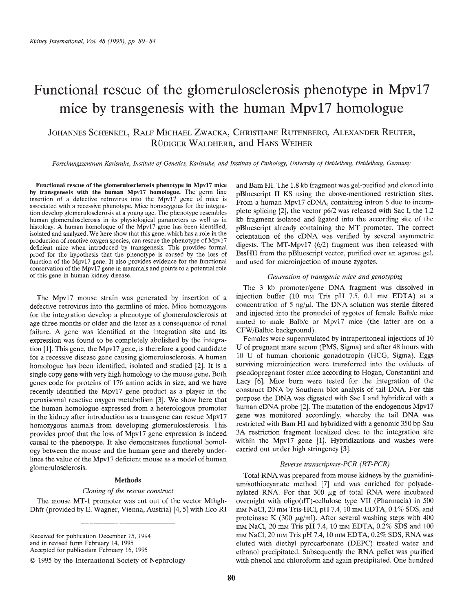# Functional rescue of the glomerulosclerosis phenotype in Mpvl7 mice by transgenesis with the human Mpvl7 homologue

JOHANNES SCHENKEL, RALF MICHAEL ZWACKA, CHRISTIANE RUTENBERG, ALEXANDER REUTER, RUDIGER WALDHERR, and HANs WEIHER

Forschungszentrum Karlsnthe, Institute of Genetics, Karisruhe, and Institute of Pathology, University of Heidelberg, Heidelberg, Germany

Functional rescue of the glomeruloscierosis phenotype in Mpvl7 mice by transgenesis with the human Mpvl7 homologue. The germ line insertion of a defective retrovirus into the Mpvl7 gene of mice is associated with a recessive phenotype. Mice homozygous for the integration develop glomeruloscierosis at a young age. The phenotype resembles human glomerulosclerosis in its physiological parameters as well as in histology. A human homologue of the Mpv17 gene has been identified, isolated and analyzed. We here show that this gene, which has a role in the production of reactive oxygen species, can rescue the phenotype of Mpvl7 deficient mice when introduced by transgenesis. This provides formal proof for the hypothesis that the phenotype is caused by the loss of function of the Mpvl7 gene. It also provides evidence for the functional conservation of the Mpvl7 gene in mammals and points to a potential role of this gene in human kidney disease.

The Mpvl7 mouse strain was generated by insertion of a defective retrovirus into the germline of mice. Mice homozygous for the integration develop a phenotype of glomeruloscierosis at age three months or older and die later as a consequence of renal failure. A gene was identified at the integration site and its expression was found to be completely abolished by the integration [1]. This gene, the Mpvl7 gene, is therefore a good candidate for a recessive disease gene causing glomerulosclerosis. A human homologue has been identified, isolated and studied [2]. It is a single copy gene with very high homology to the mouse gene. Both genes code for proteins of 176 amino acids in size, and we have recently identified the Mpvl7 gene product as a player in the peroxisomal reactive oxygen metabolism [3]. We show here that the human homologue expressed from a heterologous promoter in the kidney after introduction as a transgene can rescue Mpvl7 homozygous animals from developing glomerulosclerosis. This provides proof that the loss of Mpvl7 gene expression is indeed causal to the phenotype. It also demonstrates functional homology between the mouse and the human gene and thereby underlines the value of the Mpvl7 deficient mouse as a model of human glomerulosclerosis.

#### Methods

#### Cloning of the rescue construct

The mouse MT-l promoter was cut out of the vector Mthgh-Dhfr (provided by E. Wagner, Vienna, Austria) [4, 5] with Eco RI

Received for publication December 15, 1994 and in revised form February 14, 1995 Accepted for publication February 16, 1995

and Bam HI. The 1.8kb fragment was gel-purified and cloned into pBluescript II KS using the above-mentioned restriction sites. From a human Mpvl7 cDNA, containing intron 6 due to incomplete splicing [2], the vector p6/2 was released with Sac I, the 1.2 kb fragment isolated and ligated into the according site of the pBluescript already containing the MT promoter. The correct orientation of the eDNA was verified by several asymmetric digests. The MT-Mpvl7 (6/2) fragment was then released with BssHII from the pBluescript vector, purified over an agarose gel, and used for microinjection of mouse zygotes.

#### Generation of transgenic mice and genotyping

The 3 kb promoter/gene DNA fragment was dissolved in injection buffer (10 mm Tris pH 7.5, 0.1 mm EDTA) at a concentration of 5 ng/ $\mu$ l. The DNA solution was sterile filtered and injected into the pronuclei of zygotes of female Balb/c mice mated to male Balb/c or Mpvl7 mice (the latter are on a CFW/Balb/c background).

Females were superovulated by intraperitoneal injections of 10 U of pregnant mare serum (PMS, Sigma) and after 48 hours with 10 U of human chorionic gonadotropin (HCG, Sigma). Eggs surviving microinjection were transferred into the oviducts of pseudopregnant foster mice according to Hogan, Constantini and Lacy [6]. Mice born were tested for the integration of the construct DNA by Southern blot analysis of tail DNA. For this purpose the DNA was digested with Sac I and hybridized with a human cDNA probe [2]. The mutation of the endogenous Mpv17 gene was monitored accordingly, whereby the tail DNA was restricted with Bam HI and hybridized with a genomic 350 bp Sau 3A restriction fragment localized close to the integration site within the Mpvl7 gene [1]. Hybridizations and washes were carried out under high stringency [3].

#### Reverse transcriptase-PCR (RT-PCR)

Total RNA was prepared from mouse kidneys by the guanidiniumisothiocyanate method [7] and was enriched for polyadenylated RNA. For that 300  $\mu$ g of total RNA were incubated overnight with oligo(dT)-cellulose type VII (Pharmacia) in 500 mm NaCl,  $20$  mm Tris-HCl, pH 7.4,  $10$  mm EDTA,  $0.1\%$  SDS, and proteinase K (300  $\mu$ g/ml). After several washing steps with 400 mm NaCl, 20 mm Tris pH 7.4, 10 mm EDTA, 0.2% SDS and 100 mm NaCl, 20 mm Tris pH 7.4, 10 mm EDTA, 0.2% SDS, RNA was eluted with diethyl pyrocarbonate (DEPC) treated water and ethanol precipitated. Subsequently the RNA pellet was purified with phenol and chloroform and again precipitated. One hundred

<sup>© 1995</sup> by the International Society of Nephrology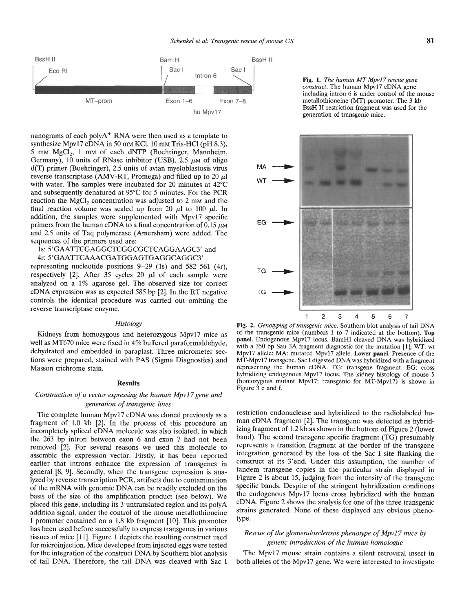

nanograms of each poly $A^+$  RNA were then used as a template to synthesize Mpv17 cDNA in 50 mm KCl, 10 mm Tris-HCl (pH 8.3), 5 mm MgCl<sub>2</sub>, 1 mm of each dNTP (Boehringer, Mannheim, Germany), 10 units of RNase inhibitor (USB), 2.5  $\mu$ M of oligo d(T) primer (Boehringer), 2.5 units of avian myeloblastosis virus reverse transcriptase (AMV-RT, Promega) and filled up to 20  $\mu$ l with water. The samples were incubated for 20 minutes at 42°C and subsequently denatured at 95°C for 5 minutes. For the PCR reaction the  $MgCl<sub>2</sub>$  concentration was adjusted to 2 mm and the final reaction volume was scaled up from 20  $\mu$ l to 100  $\mu$ l. In addition, the samples were supplemented with Mpvl7 specific primers from the human cDNA to a final concentration of  $0.15 \mu M$ and 2.5 units of Taq polymerase (Amersham) were added. The sequences of the primers used are:

### 1s: 5'GAATTCGAGGCTCGGCGCTCAGGAAGC3' and 4r: 5 'GAATFCAAACGATGGAGTGAGGCAGGC3'

representing nucleotide positions  $9-29$  (1s) and  $582-561$  (4r), respectively [2]. After 35 cycles 20  $\mu$ l of each sample were analyzed on a 1% agarose gel. The observed size for correct eDNA expression was as expected 585 bp [21. In the RT negative controls the identical procedure was carried out omitting the reverse transcriptase enzyme.

#### **Histology**

Kidneys from homozygous and heterozygous Mpv17 mice as well as MT670 mice were fixed in 4% buffered paraformaldehyde, dehydrated and embedded in paraplast. Three micrometer sections were prepared, stained with PAS (Sigma Diagnostics) and Masson trichrome stain.

#### Results

# Construction of a vector expressing the human Mpv17 gene and generation of transgenic lines

The complete human Mpv17 cDNA was cloned previously as a fragment of 1.0 kb [21. In the process of this procedure an incompletely spliced cDNA molecule was also isolated, in which the 263 bp intron between exon 6 and exon 7 had not been removed [2]. For several reasons we used this molecule to assemble the expression vector. Firstly, it has been reported earlier that introns enhance the expression of transgenes in general [8, 9]. Secondly, when the transgene expression is analyzed by reverse transcription PCR, artifacts due to contamination of the mRNA with genomic DNA can be readily excluded on the basis of the size of the amplification product (see below). We placed this gene, including its 3'untranslated region and its polyA addition signal, under the control of the mouse metallothioneine I promoter contained on a 1.8 kb fragment [10]. This promoter has been used before successfully to express transgenes in various tissues of mice [11]. Figure 1 depicts the resulting construct used for microinjection. Mice developed from injected eggs were tested for the integration of the construct DNA by Southern blot analysis of tail DNA. Therefore, the tail DNA was cleaved with Sac I

Fig. 1. The human MT Mpvl7 rescue gene construct. The human Mpv17 cDNA gene including intron 6 is under control of the mouse metallothioneine (MT) promoter. The 3 kb BssH II restriction fragment was used for the generation of transgenic mice.



Fig. 2. Genotyping of transgenic mice. Southern blot analysis of tail DNA of the transgenic mice (numbers 1 to 7 indicated at the bottom). Top panel. Endogenous Mpvl7 locus. BamHI cleaved DNA was hybridized with a 350 bp Sau 3A fragment diagnostic for the mutation [1]; WT: wt Mpvl7 allele; MA: mutated Mpvl7 allele. Lower panel. Presence of the MT-Mpvl7 transgene. Sac I digested DNA was hybridized with a fragment representing the human eDNA. TG: transgene fragment. EG: cross hybridizing endogenous Mpv17 locus. The kidney histology of mouse 5 (homozygous mutant Mpvl7; transgenic for MT-Mpvl7) is shown in Figure 3 e and f.

restriction endonuclease and hybridized to the radiolabeled human eDNA fragment [2]. The transgene was detected as hybridizing fragment of 1.2 kb as shown in the bottom of Figure 2 (lower band). The second transgene specific fragment (TG) presumably represents a transition fragment at the border of the transgene integration generated by the loss of the Sac I site flanking the construct at its 3'end. Under this assumption, the number of tandem transgene copies in the particular strain displayed in Figure 2 is about 15, judging from the intensity of the transgene specific bands. Despite of the stringent hybridization conditions the endogenous Mpvi7 locus cross hybridized with the human eDNA. Figure 2 shows the analysis for one of the three transgenic strains generated. None of these displayed any obvious phenotype.

## Rescue of the glomerulosclerosis phenotype of Mpv17 mice by genetic introduction of the human homologue

The Mpvl7 mouse strain contains a silent retroviral insert in both alleles of the Mpvi7 gene. We were interested to investigate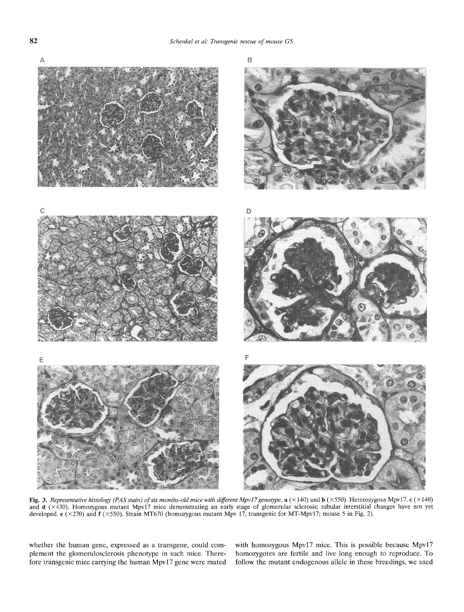

Fig. 3. Representative histology (PAS stain) of six months-old mice with different Mpv17 genotype. a (×140) and b (×550). Heterozygous Mpv17. c (×140)<br>and d (×430). Homozygous mutant Mpv17 mice demonstrating an early stage developed. e (x270) and f (x550). Strain MT670 (homozygous mutant Mpv 17, transgenic for MT-Mpvl7; mouse 5 in Fig. 2).

whether the human gene, expressed as a transgene, could com- with homozygous Mpv17 mice. This is possible because Mpv17 plement the glomerulosclerosis phenotype in such mice. There-<br>fore transgenic mice carrying the human Mpv17 gene were mated<br>follow the mutant endogenous allele in these breedings, we used follow the mutant endogenous allele in these breedings, we used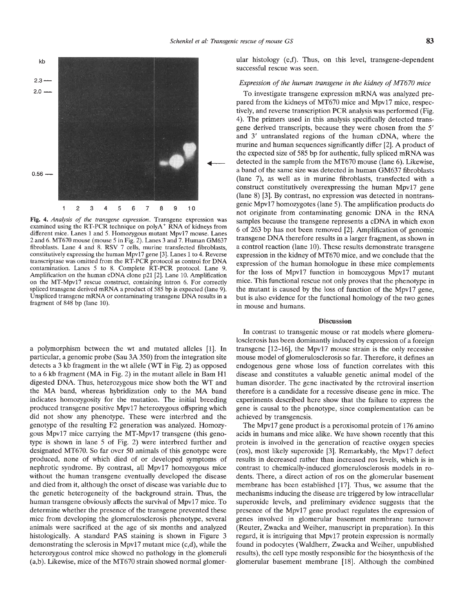

Fig. 4. Analysis of the transgene expression. Transgene expression was examined using the RT-PCR technique on poly $A^+$  RNA of kidneys from different mice. Lanes I and 5. Homozygous mutant Mpvl7 mouse. Lanes 2 and 6. MT670 mouse (mouse 5 in Fig. 2). Lanes 3 and 7. Human GM637 fibroblasts. Lane 4 and 8. RSV 7 cells, murine transfected fibroblasts, constitutively expressing the human Mpv17 gene [3]. Lanes 1 to 4. Reverse transcriptase was omitted from the RT-PCR protocol as control for DNA contamination. Lanes 5 to 8. Complete RT-PCR protocol. Lane 9. Amplification on the human cDNA clone p21 [2]. Lane 10. Amplification on the MT-Mpv17 rescue construct, containing intron 6. For correctly spliced transgene derived mRNA a product of 585 bp is expected (lane 9). Unspliced transgene mRNA or contaminating transgene DNA results in a fragment of 848 bp (lane 10).

a polymorphism between the wt and mutated alleles [1]. In particular, a genomic probe (Sau 3A 350) from the integration site detects a 3 kb fragment in the wt allele (WT in Fig. 2) as opposed to a 6 kb fragment (MA in Fig. 2) in the mutant allele in Bam H1 digested DNA. Thus, heterozygous mice show both the WT and the MA band, whereas hybridization only to the MA band indicates homozygosity for the mutation. The initial breeding produced transgene positive Mpvl7 heterozygous offspring which did not show any phenotype. These were interbred and the genotype of the resulting F2 generation was analyzed. Homozygous Mpvl7 mice carrying the MT-Mpvl7 transgene (this genotype is shown in lane 5 of Fig. 2) were interbred further and designated MT670. So far over 50 animals of this genotype were produced, none of which died of or developed symptoms of nephrotic syndrome. By contrast, all Mpvl7 homozygous mice without the human transgene eventually developed the disease and died from it, although the onset of disease was variable due to the genetic heterogeneity of the background strain. Thus, the human transgene obviously affects the survival of Mpvl7 mice. To determine whether the presence of the transgene prevented these presence of the Mpv17 gene product regulates the expression of mice from developing the glomerulosclerosis phenotype, several animals were sacrificed at the age of six months and analyzed histologically. A standard PAS staining is shown in Figure 3 demonstrating the sclerosis in Mpv17 mutant mice  $(c,d)$ , while the heterozygous control mice showed no pathology in the glomeruli (a,b). Likewise, mice of the MT670 strain showed normal glomer-

ular histology (e,f). Thus, on this level, transgene-dependent successful rescue was seen.

#### Expression of the human transgene in the kidney of MT670 mice

To investigate transgene expression mRNA was analyzed prepared from the kidneys of MT670 mice and Mpvi7 mice, respectively, and reverse transcription PCR analysis was performed (Fig. 4). The primers used in this analysis specifically detected transgene derived transcripts, because they were chosen from the 5' and 3' untranslated regions of the human cDNA, where the murine and human sequences significantly differ [2]. A product of the expected size of 585 bp for authentic, fully spliced mRNA was<br>detected in the sample from the MT670 mouse (lane 6). Likewise,<br>a band of the same size was detected in human GM637 fibroblasts a band of the same size was detected in human GM637 fibroblasts (lane 7), as well as in murine fibroblasts, transfected with a construct constitutively overexpressing the human Mpv17 gene (lane 8) [31. By contrast, no expression was detected in nontransgenie Mpvl7 homozygotes (lane 5). The amplification products do not originate from contaminating genomic DNA in the RNA samples because the transgene represents a eDNA in which exon 6 of 263 bp has not been removed [2]. Amplification of genomic transgene DNA therefore results in a larger fragment, as shown in a control reaction (lane 10). These results demonstrate transgene expression in the kidney of MT670 mice, and we conclude that the expression of the human homologue in these mice complements for the loss of Mpvl7 function in homozygous Mpvl7 mutant mice. This functional rescue not only proves that the phenotype in the mutant is caused by the loss of function of the Mpvl7 gene, but is also evidence for the functional homology of the two genes in mouse and humans.

#### **Discussion**

In contrast to transgenic mouse or rat models where glomeruloscierosis has been dominantly induced by expression of a foreign transgene [12—16], the Mpvl7 mouse strain is the only recessive mouse model of glomerulosclerosis so far. Therefore, it defines an endogenous gene whose loss of function correlates with this disease and constitutes a valuable genetic animal model of the human disorder. The gene inactivated by the retroviral insertion therefore is a candidate for a recessive disease gene in mice. The experiments described here show that the failure to express the gene is causal to the phenotype, since complementation can be achieved by transgenesis.

The Mpv17 gene product is a peroxisomal protein of 176 amino acids in humans and mice alike. We have shown recently that this protein is involved in the generation of reactive oxygen species (ros), most likely superoxide [31. Remarkably, the Mpvl7 defect results in decreased rather than increased ros levels, which is in contrast to chemically-induced glomeruloscierosis models in rodents. There, a direct action of ros on the glomerular basement membrane has been established [17]. Thus, we assume that the mechanisms inducing the disease are triggered by low intracellular superoxide levels, and preliminary evidence suggests that the genes involved in glomerular basement membrane turnover (Reuter, Zwacka and Weiher, manuscript in preparation). In this regard, it is intriguing that Mpvl7 protein expression is normally found in podocytes (Waldherr, Zwacka and Weiher, unpublished results), the cell type mostly responsible for the biosynthesis of the glomerular basement membrane [181. Although the combined